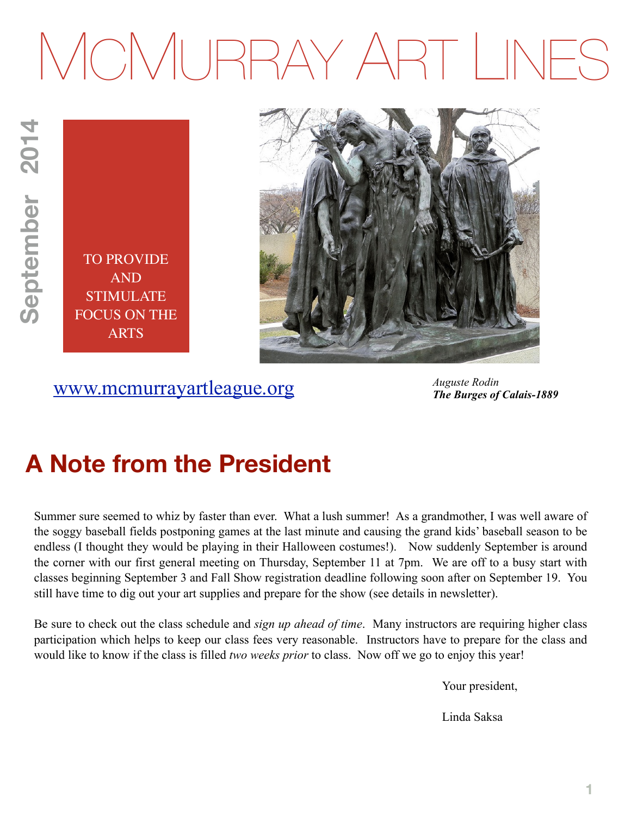# MCMURRAY ART LINES

TO PROVIDE AND STIMULATE FOCUS ON THE ARTS



## [www.mcmurrayartleague.org](http://www.mcmurrayartleague.org)

*Auguste Rodin The Burges of Calais-1889*

## **A Note from the President**

Summer sure seemed to whiz by faster than ever. What a lush summer! As a grandmother, I was well aware of the soggy baseball fields postponing games at the last minute and causing the grand kids' baseball season to be endless (I thought they would be playing in their Halloween costumes!). Now suddenly September is around the corner with our first general meeting on Thursday, September 11 at 7pm. We are off to a busy start with classes beginning September 3 and Fall Show registration deadline following soon after on September 19. You still have time to dig out your art supplies and prepare for the show (see details in newsletter).

Be sure to check out the class schedule and *sign up ahead of time*. Many instructors are requiring higher class participation which helps to keep our class fees very reasonable. Instructors have to prepare for the class and would like to know if the class is filled *two weeks prior* to class. Now off we go to enjoy this year!

Your president,

Linda Saksa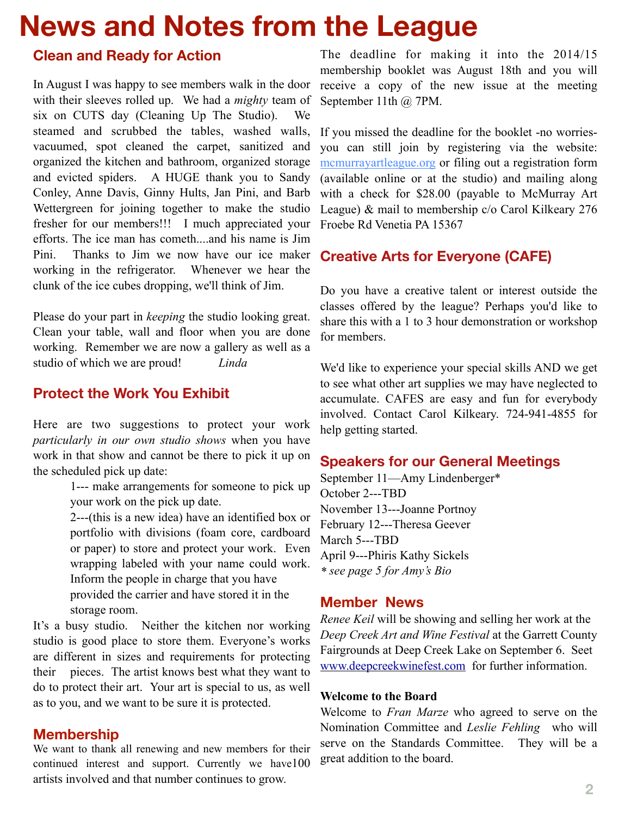# **News and Notes from the League**

#### **Clean and Ready for Action**

In August I was happy to see members walk in the door with their sleeves rolled up. We had a *mighty* team of six on CUTS day (Cleaning Up The Studio). We steamed and scrubbed the tables, washed walls, vacuumed, spot cleaned the carpet, sanitized and organized the kitchen and bathroom, organized storage and evicted spiders. A HUGE thank you to Sandy Conley, Anne Davis, Ginny Hults, Jan Pini, and Barb Wettergreen for joining together to make the studio fresher for our members!!! I much appreciated your efforts. The ice man has cometh....and his name is Jim Pini. Thanks to Jim we now have our ice maker working in the refrigerator. Whenever we hear the clunk of the ice cubes dropping, we'll think of Jim.

Please do your part in *keeping* the studio looking great. Clean your table, wall and floor when you are done working. Remember we are now a gallery as well as a studio of which we are proud! *Linda*

#### **Protect the Work You Exhibit**

Here are two suggestions to protect your work *particularly in our own studio shows* when you have work in that show and cannot be there to pick it up on the scheduled pick up date:

> 1--- make arrangements for someone to pick up your work on the pick up date.

> 2---(this is a new idea) have an identified box or portfolio with divisions (foam core, cardboard or paper) to store and protect your work. Even wrapping labeled with your name could work. Inform the people in charge that you have provided the carrier and have stored it in the storage room.

It's a busy studio. Neither the kitchen nor working studio is good place to store them. Everyone's works are different in sizes and requirements for protecting their pieces. The artist knows best what they want to do to protect their art. Your art is special to us, as well as to you, and we want to be sure it is protected.

#### **Membership**

We want to thank all renewing and new members for their continued interest and support. Currently we have100 artists involved and that number continues to grow.

The deadline for making it into the 2014/15 membership booklet was August 18th and you will receive a copy of the new issue at the meeting September 11th @ 7PM.

If you missed the deadline for the booklet -no worriesyou can still join by registering via the website: [mcmurrayartleague.org](http://mcmurrayartleague.org/) or filing out a registration form (available online or at the studio) and mailing along with a check for \$28.00 (payable to McMurray Art League) & mail to membership c/o Carol Kilkeary 276 Froebe Rd Venetia PA 15367

#### **Creative Arts for Everyone (CAFE)**

Do you have a creative talent or interest outside the classes offered by the league? Perhaps you'd like to share this with a 1 to 3 hour demonstration or workshop for members.

We'd like to experience your special skills AND we get to see what other art supplies we may have neglected to accumulate. CAFES are easy and fun for everybody involved. Contact Carol Kilkeary. 724-941-4855 for help getting started.

#### **Speakers for our General Meetings**

September 11—Amy Lindenberger\* October 2---TBD November 13---Joanne Portnoy February 12---Theresa Geever March 5---TBD April 9---Phiris Kathy Sickels *\* see page 5 for Amy's Bio*

#### **Member News**

*Renee Keil* will be showing and selling her work at the *Deep Creek Art and Wine Festival* at the Garrett County Fairgrounds at Deep Creek Lake on September 6. Seet [www.deepcreekwinefest.com](http://www.deepcreekwinefest.com) for further information.

#### **Welcome to the Board**

Welcome to *Fran Marze* who agreed to serve on the Nomination Committee and *Leslie Fehling* who will serve on the Standards Committee. They will be a great addition to the board.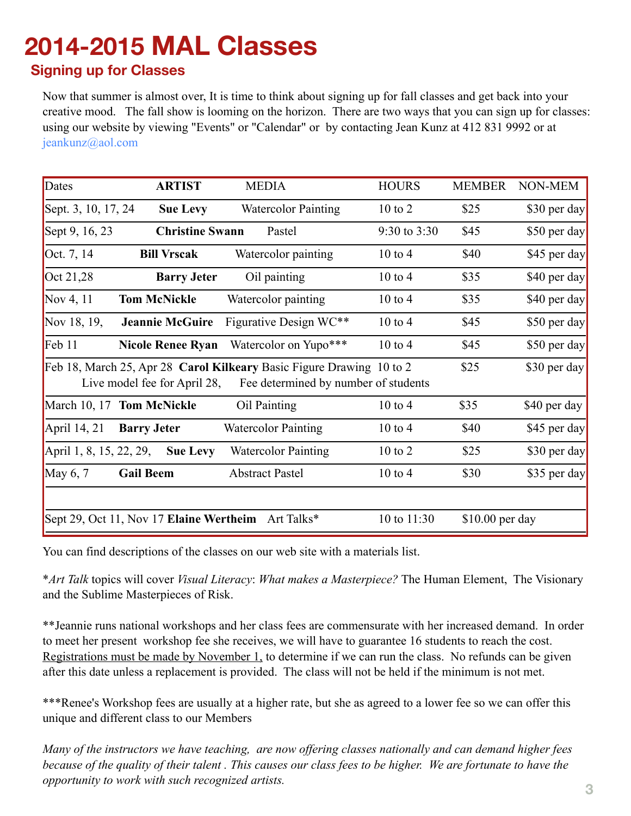# **2014-2015 MAL Classes**

#### **Signing up for Classes**

Now that summer is almost over, It is time to think about signing up for fall classes and get back into your creative mood. The fall show is looming on the horizon. There are two ways that you can sign up for classes: using our website by viewing "Events" or "Calendar" or by contacting Jean Kunz at 412 831 9992 or at [jeankunz@aol.com](mailto:jeankunz@aol.com)

| Dates                                                                                                                                                                | <b>ARTIST</b>             | <b>MEDIA</b>               | <b>HOURS</b>       | <b>MEMBER</b>   | NON-MEM      |  |
|----------------------------------------------------------------------------------------------------------------------------------------------------------------------|---------------------------|----------------------------|--------------------|-----------------|--------------|--|
| Sept. 3, 10, 17, 24                                                                                                                                                  | <b>Sue Levy</b>           | <b>Watercolor Painting</b> | $10 \text{ to } 2$ | \$25            | \$30 per day |  |
| Sept 9, 16, 23                                                                                                                                                       | <b>Christine Swann</b>    | Pastel                     | 9:30 to 3:30       | \$45            | \$50 per day |  |
| Oct. 7, 14                                                                                                                                                           | <b>Bill Vrscak</b>        | Watercolor painting        | $10 \text{ to } 4$ | \$40            | \$45 per day |  |
| Oct $21,28$                                                                                                                                                          | <b>Barry Jeter</b>        | Oil painting               | $10$ to $4$        | \$35            | \$40 per day |  |
| Nov 4, $11$                                                                                                                                                          | <b>Tom McNickle</b>       | Watercolor painting        | $10$ to $4$        | \$35            | \$40 per day |  |
| Nov 18, 19,                                                                                                                                                          | <b>Jeannie McGuire</b>    | Figurative Design WC**     | $10$ to $4$        | \$45            | \$50 per day |  |
| $\text{Feb}$ 11                                                                                                                                                      | <b>Nicole Renee Ryan</b>  | Watercolor on Yupo***      | $10$ to $4$        | \$45            | \$50 per day |  |
| Feb 18, March 25, Apr 28 Carol Kilkeary Basic Figure Drawing 10 to 2<br>\$25<br>\$30 per day<br>Live model fee for April 28,<br>Fee determined by number of students |                           |                            |                    |                 |              |  |
|                                                                                                                                                                      | March 10, 17 Tom McNickle | Oil Painting               | $10$ to $4$        | \$35            | \$40 per day |  |
| April 14, 21                                                                                                                                                         | <b>Barry Jeter</b>        | <b>Watercolor Painting</b> | $10 \text{ to } 4$ | \$40            | \$45 per day |  |
| April 1, 8, 15, 22, 29,                                                                                                                                              | <b>Sue Levy</b>           | <b>Watercolor Painting</b> | $10$ to $2$        | \$25            | \$30 per day |  |
| May $6, 7$                                                                                                                                                           | <b>Gail Beem</b>          | <b>Abstract Pastel</b>     | $10$ to $4$        | \$30            | \$35 per day |  |
| Sept 29, Oct 11, Nov 17 Elaine Wertheim<br>10 to 11:30<br>Art Talks*                                                                                                 |                           |                            |                    | \$10.00 per day |              |  |

You can find descriptions of the classes on our web site with a materials list.

\**Art Talk* topics will cover *Visual Literacy*: *What makes a Masterpiece?* The Human Element, The Visionary and the Sublime Masterpieces of Risk.

\*\*Jeannie runs national workshops and her class fees are commensurate with her increased demand. In order to meet her present workshop fee she receives, we will have to guarantee 16 students to reach the cost. Registrations must be made by November 1, to determine if we can run the class. No refunds can be given after this date unless a replacement is provided. The class will not be held if the minimum is not met.

\*\*\*Renee's Workshop fees are usually at a higher rate, but she as agreed to a lower fee so we can offer this unique and different class to our Members

*Many of the instructors we have teaching, are now offering classes nationally and can demand higher fees because of the quality of their talent. This causes our class fees to be higher. We are fortunate to have the opportunity to work with such recognized artists.*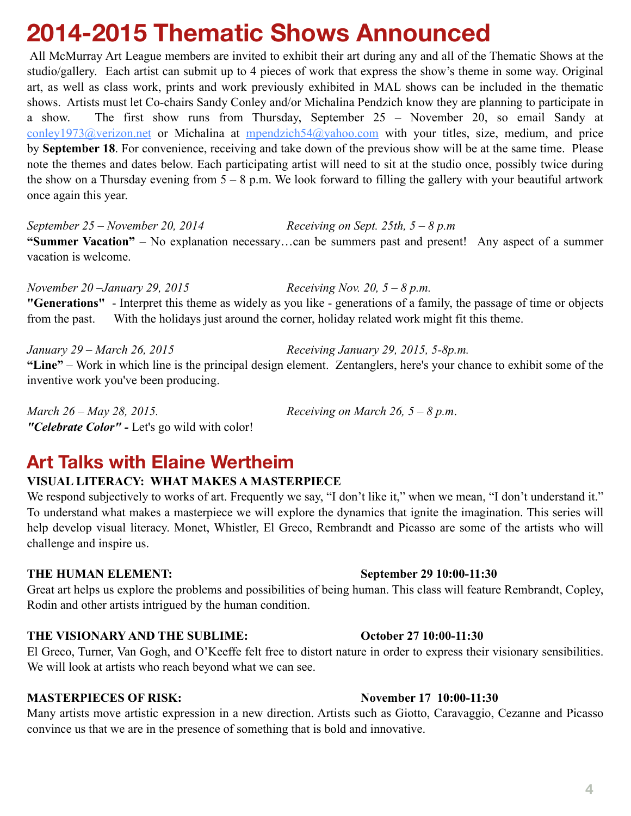## **2014-2015 Thematic Shows Announced**

 All McMurray Art League members are invited to exhibit their art during any and all of the Thematic Shows at the studio/gallery. Each artist can submit up to 4 pieces of work that express the show's theme in some way. Original art, as well as class work, prints and work previously exhibited in MAL shows can be included in the thematic shows. Artists must let Co-chairs Sandy Conley and/or Michalina Pendzich know they are planning to participate in a show. The first show runs from Thursday, September 25 – November 20, so email Sandy at [conley1973@verizon.net](mailto:conley1973@verizon.net) or Michalina at [mpendzich54@yahoo.com](mailto:mpendzich54@yahoo.com) with your titles, size, medium, and price by **September 18**. For convenience, receiving and take down of the previous show will be at the same time. Please note the themes and dates below. Each participating artist will need to sit at the studio once, possibly twice during the show on a Thursday evening from  $5 - 8$  p.m. We look forward to filling the gallery with your beautiful artwork once again this year.

*September 25 – November 20, 2014 Receiving on Sept. 25th, 5 – 8 p.m*  **"Summer Vacation"** – No explanation necessary…can be summers past and present! Any aspect of a summer vacation is welcome.

*November 20 –January 29, 2015 Receiving Nov. 20, 5 – 8 p.m.*  **"Generations"** - Interpret this theme as widely as you like - generations of a family, the passage of time or objects from the past. With the holidays just around the corner, holiday related work might fit this theme.

*January 29 – March 26, 2015 Receiving January 29, 2015, 5-8p.m.*  **"Line"** – Work in which line is the principal design element. Zentanglers, here's your chance to exhibit some of the inventive work you've been producing.

*March 26 – May 28, 2015. Receiving on March 26, 5 – 8 p.m*. *"Celebrate Color" -* Let's go wild with color!

## **Art Talks with Elaine Wertheim**

#### **VISUAL LITERACY: WHAT MAKES A MASTERPIECE**

We respond subjectively to works of art. Frequently we say, "I don't like it," when we mean, "I don't understand it." To understand what makes a masterpiece we will explore the dynamics that ignite the imagination. This series will help develop visual literacy. Monet, Whistler, El Greco, Rembrandt and Picasso are some of the artists who will challenge and inspire us.

#### **THE HUMAN ELEMENT: September 29 10:00-11:30**

Great art helps us explore the problems and possibilities of being human. This class will feature Rembrandt, Copley, Rodin and other artists intrigued by the human condition.

#### **THE VISIONARY AND THE SUBLIME: October 27 10:00-11:30**

El Greco, Turner, Van Gogh, and O'Keeffe felt free to distort nature in order to express their visionary sensibilities. We will look at artists who reach beyond what we can see.

#### **MASTERPIECES OF RISK:** November 17 10:00-11:30

Many artists move artistic expression in a new direction. Artists such as Giotto, Caravaggio, Cezanne and Picasso convince us that we are in the presence of something that is bold and innovative.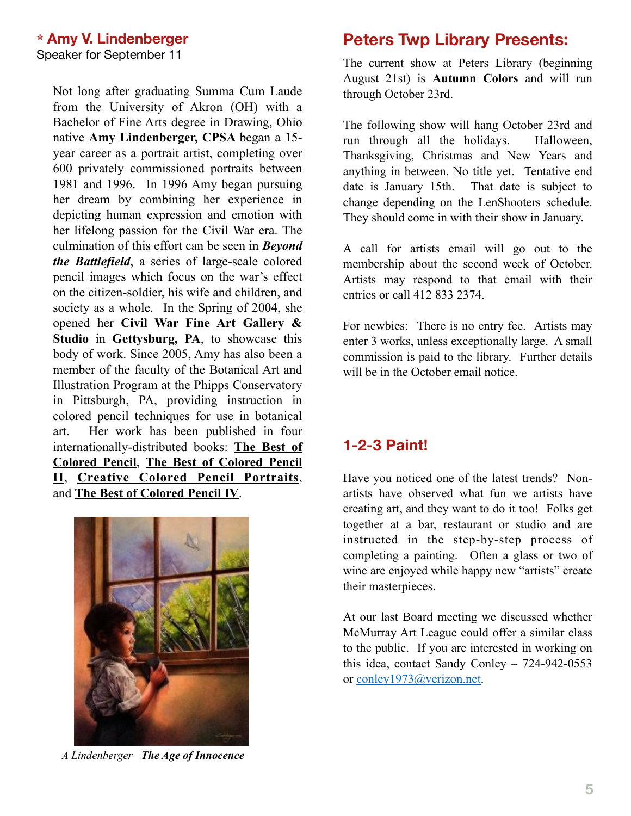Not long after graduating Summa Cum Laude from the University of Akron (OH) with a Bachelor of Fine Arts degree in Drawing, Ohio native **Amy Lindenberger, CPSA** began a 15 year career as a portrait artist, completing over 600 privately commissioned portraits between 1981 and 1996. In 1996 Amy began pursuing her dream by combining her experience in depicting human expression and emotion with her lifelong passion for the Civil War era. The culmination of this effort can be seen in *Beyond the Battlefield*, a series of large-scale colored pencil images which focus on the war's effect on the citizen-soldier, his wife and children, and society as a whole. In the Spring of 2004, she opened her **Civil War Fine Art Gallery & Studio** in **Gettysburg, PA**, to showcase this body of work. Since 2005, Amy has also been a member of the faculty of the Botanical Art and Illustration Program at the Phipps Conservatory in Pittsburgh, PA, providing instruction in colored pencil techniques for use in botanical art. Her work has been published in four internationally-distributed books: **The Best of Colored Pencil**, **The Best of Colored Pencil II**, **Creative Colored Pencil Portraits**, and **The Best of Colored Pencil IV**.



*A Lindenberger The Age of Innocence*

### **Peters Twp Library Presents:**

The current show at Peters Library (beginning August 21st) is **Autumn Colors** and will run through October 23rd.

The following show will hang October 23rd and run through all the holidays. Halloween, Thanksgiving, Christmas and New Years and anything in between. No title yet. Tentative end date is January 15th. That date is subject to change depending on the LenShooters schedule. They should come in with their show in January.

A call for artists email will go out to the membership about the second week of October. Artists may respond to that email with their entries or call 412 833 2374.

For newbies: There is no entry fee. Artists may enter 3 works, unless exceptionally large. A small commission is paid to the library. Further details will be in the October email notice.

#### **1-2-3 Paint!**

Have you noticed one of the latest trends? Nonartists have observed what fun we artists have creating art, and they want to do it too! Folks get together at a bar, restaurant or studio and are instructed in the step-by-step process of completing a painting. Often a glass or two of wine are enjoyed while happy new "artists" create their masterpieces.

At our last Board meeting we discussed whether McMurray Art League could offer a similar class to the public. If you are interested in working on this idea, contact Sandy Conley – 724-942-0553 or [conley1973@verizon.net.](mailto:conley1973@verizon.net)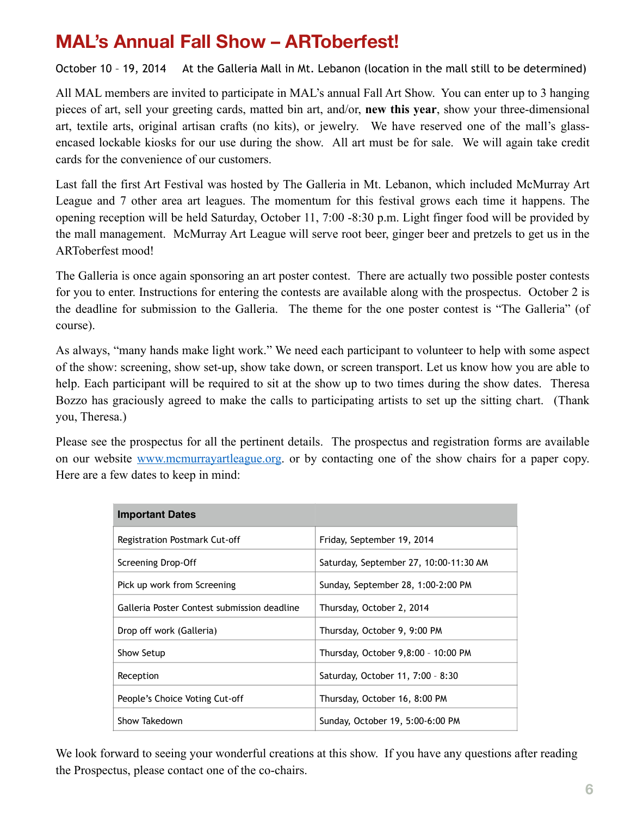## **MAL's Annual Fall Show – ARToberfest!**

October 10 - 19, 2014 At the Galleria Mall in Mt. Lebanon (location in the mall still to be determined)

All MAL members are invited to participate in MAL's annual Fall Art Show. You can enter up to 3 hanging pieces of art, sell your greeting cards, matted bin art, and/or, **new this year**, show your three-dimensional art, textile arts, original artisan crafts (no kits), or jewelry. We have reserved one of the mall's glassencased lockable kiosks for our use during the show. All art must be for sale. We will again take credit cards for the convenience of our customers.

Last fall the first Art Festival was hosted by The Galleria in Mt. Lebanon, which included McMurray Art League and 7 other area art leagues. The momentum for this festival grows each time it happens. The opening reception will be held Saturday, October 11, 7:00 -8:30 p.m. Light finger food will be provided by the mall management. McMurray Art League will serve root beer, ginger beer and pretzels to get us in the ARToberfest mood!

The Galleria is once again sponsoring an art poster contest. There are actually two possible poster contests for you to enter. Instructions for entering the contests are available along with the prospectus. October 2 is the deadline for submission to the Galleria. The theme for the one poster contest is "The Galleria" (of course).

As always, "many hands make light work." We need each participant to volunteer to help with some aspect of the show: screening, show set-up, show take down, or screen transport. Let us know how you are able to help. Each participant will be required to sit at the show up to two times during the show dates. Theresa Bozzo has graciously agreed to make the calls to participating artists to set up the sitting chart. (Thank you, Theresa.)

Please see the prospectus for all the pertinent details. The prospectus and registration forms are available on our website [www.mcmurrayartleague.org](http://www.mcmurrayartleague.org). or by contacting one of the show chairs for a paper copy. Here are a few dates to keep in mind:

| <b>Important Dates</b>                      |                                        |  |  |  |
|---------------------------------------------|----------------------------------------|--|--|--|
| Registration Postmark Cut-off               | Friday, September 19, 2014             |  |  |  |
| Screening Drop-Off                          | Saturday, September 27, 10:00-11:30 AM |  |  |  |
| Pick up work from Screening                 | Sunday, September 28, 1:00-2:00 PM     |  |  |  |
| Galleria Poster Contest submission deadline | Thursday, October 2, 2014              |  |  |  |
| Drop off work (Galleria)                    | Thursday, October 9, 9:00 PM           |  |  |  |
| Show Setup                                  | Thursday, October 9,8:00 - 10:00 PM    |  |  |  |
| Reception                                   | Saturday, October 11, 7:00 - 8:30      |  |  |  |
| People's Choice Voting Cut-off              | Thursday, October 16, 8:00 PM          |  |  |  |
| Show Takedown                               | Sunday, October 19, 5:00-6:00 PM       |  |  |  |

We look forward to seeing your wonderful creations at this show. If you have any questions after reading the Prospectus, please contact one of the co-chairs.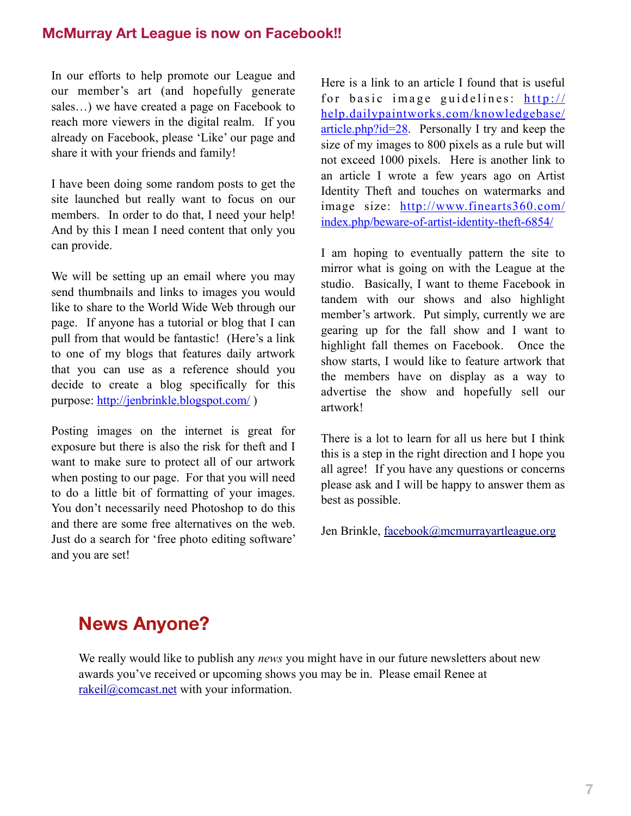#### **McMurray Art League is now on Facebook!!**

In our efforts to help promote our League and our member's art (and hopefully generate sales…) we have created a page on Facebook to reach more viewers in the digital realm. If you already on Facebook, please 'Like' our page and share it with your friends and family!

I have been doing some random posts to get the site launched but really want to focus on our members. In order to do that, I need your help! And by this I mean I need content that only you can provide.

We will be setting up an email where you may send thumbnails and links to images you would like to share to the World Wide Web through our page. If anyone has a tutorial or blog that I can pull from that would be fantastic! (Here's a link to one of my blogs that features daily artwork that you can use as a reference should you decide to create a blog specifically for this purpose:<http://jenbrinkle.blogspot.com/>)

Posting images on the internet is great for exposure but there is also the risk for theft and I want to make sure to protect all of our artwork when posting to our page. For that you will need to do a little bit of formatting of your images. You don't necessarily need Photoshop to do this and there are some free alternatives on the web. Just do a search for 'free photo editing software' and you are set!

Here is a link to an article I found that is useful for basic image guidelines:  $http://$ help.dailypaintworks.com/knowledgebase/ article.php?id=28. Personally I try and keep the size of my images to 800 pixels as a rule but will not exceed 1000 pixels. Here is another link to an article I wrote a few years ago on Artist Identity Theft and touches on watermarks and [image size: http://www.finearts360.com/](http://www.finearts360.com/index.php/beware-of-artist-identity-theft-6854/) index.php/beware-of-artist-identity-theft-6854/

I am hoping to eventually pattern the site to mirror what is going on with the League at the studio. Basically, I want to theme Facebook in tandem with our shows and also highlight member's artwork. Put simply, currently we are gearing up for the fall show and I want to highlight fall themes on Facebook. Once the show starts, I would like to feature artwork that the members have on display as a way to advertise the show and hopefully sell our artwork!

There is a lot to learn for all us here but I think this is a step in the right direction and I hope you all agree! If you have any questions or concerns please ask and I will be happy to answer them as best as possible.

Jen Brinkle, [facebook@mcmurrayartleague.org](mailto:facebook@mcmurrayartleague.org)

## **News Anyone?**

We really would like to publish any *news* you might have in our future newsletters about new awards you've received or upcoming shows you may be in. Please email Renee at [rakeil@comcast.net](mailto:rakeil@comcast.net) with your information.